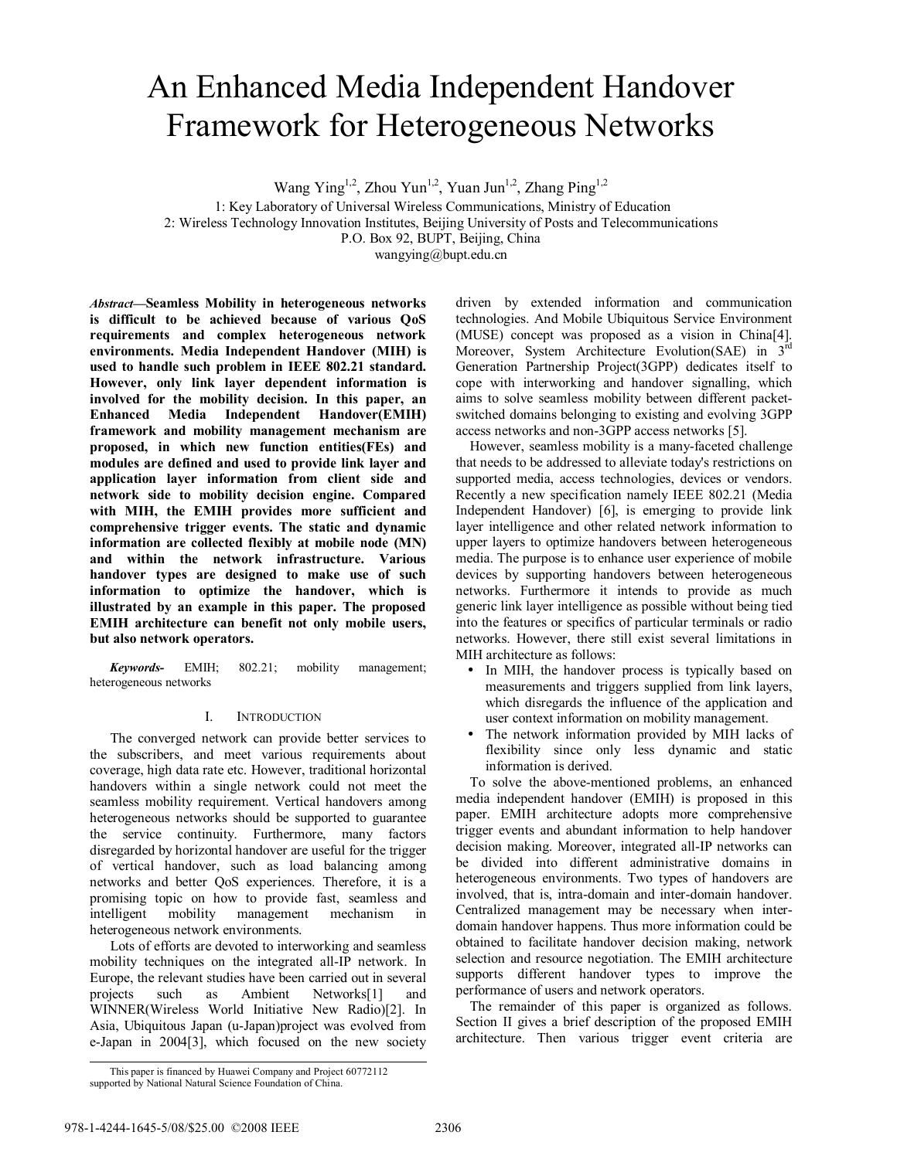# An Enhanced Media Independent Handover Framework for Heterogeneous Networks

Wang Ying<sup>1,2</sup>, Zhou Yun<sup>1,2</sup>, Yuan Jun<sup>1,2</sup>, Zhang Ping<sup>1,2</sup>

 1: Key Laboratory of Universal Wireless Communications, Ministry of Education 2: Wireless Technology Innovation Institutes, Beijing University of Posts and Telecommunications P.O. Box 92, BUPT, Beijing, China

wangying@bupt.edu.cn

*Abstract***—Seamless Mobility in heterogeneous networks is difficult to be achieved because of various QoS requirements and complex heterogeneous network environments. Media Independent Handover (MIH) is used to handle such problem in IEEE 802.21 standard. However, only link layer dependent information is involved for the mobility decision. In this paper, an Enhanced Media Independent Handover(EMIH) framework and mobility management mechanism are proposed, in which new function entities(FEs) and modules are defined and used to provide link layer and application layer information from client side and network side to mobility decision engine. Compared with MIH, the EMIH provides more sufficient and comprehensive trigger events. The static and dynamic information are collected flexibly at mobile node (MN) and within the network infrastructure. Various handover types are designed to make use of such information to optimize the handover, which is illustrated by an example in this paper. The proposed EMIH architecture can benefit not only mobile users, but also network operators.**

*Keywords-* EMIH; 802.21; mobility management; heterogeneous networks

### I. INTRODUCTION

The converged network can provide better services to the subscribers, and meet various requirements about coverage, high data rate etc. However, traditional horizontal handovers within a single network could not meet the seamless mobility requirement. Vertical handovers among heterogeneous networks should be supported to guarantee the service continuity. Furthermore, many factors disregarded by horizontal handover are useful for the trigger of vertical handover, such as load balancing among networks and better QoS experiences. Therefore, it is a promising topic on how to provide fast, seamless and intelligent mobility management mechanism in heterogeneous network environments.

Lots of efforts are devoted to interworking and seamless mobility techniques on the integrated all-IP network. In Europe, the relevant studies have been carried out in several projects such as Ambient Networks[1] and WINNER(Wireless World Initiative New Radio)[2]. In Asia, Ubiquitous Japan (u-Japan)project was evolved from e-Japan in 2004[3], which focused on the new society driven by extended information and communication technologies. And Mobile Ubiquitous Service Environment (MUSE) concept was proposed as a vision in China[4]. Moreover, System Architecture Evolution(SAE) in 3<sup>rd</sup> Generation Partnership Project(3GPP) dedicates itself to cope with interworking and handover signalling, which aims to solve seamless mobility between different packetswitched domains belonging to existing and evolving 3GPP

access networks and non-3GPP access networks [5]. However, seamless mobility is a many-faceted challenge that needs to be addressed to alleviate today's restrictions on supported media, access technologies, devices or vendors. Recently a new specification namely IEEE 802.21 (Media Independent Handover) [6], is emerging to provide link layer intelligence and other related network information to upper layers to optimize handovers between heterogeneous media. The purpose is to enhance user experience of mobile devices by supporting handovers between heterogeneous networks. Furthermore it intends to provide as much generic link layer intelligence as possible without being tied into the features or specifics of particular terminals or radio networks. However, there still exist several limitations in MIH architecture as follows:

- In MIH, the handover process is typically based on measurements and triggers supplied from link layers, which disregards the influence of the application and user context information on mobility management.
- The network information provided by MIH lacks of flexibility since only less dynamic and static information is derived.

To solve the above-mentioned problems, an enhanced media independent handover (EMIH) is proposed in this paper. EMIH architecture adopts more comprehensive trigger events and abundant information to help handover decision making. Moreover, integrated all-IP networks can be divided into different administrative domains in heterogeneous environments. Two types of handovers are involved, that is, intra-domain and inter-domain handover. Centralized management may be necessary when interdomain handover happens. Thus more information could be obtained to facilitate handover decision making, network selection and resource negotiation. The EMIH architecture supports different handover types to improve the performance of users and network operators.

The remainder of this paper is organized as follows. Section II gives a brief description of the proposed EMIH architecture. Then various trigger event criteria are

This paper is financed by Huawei Company and Project 60772112 supported by National Natural Science Foundation of China.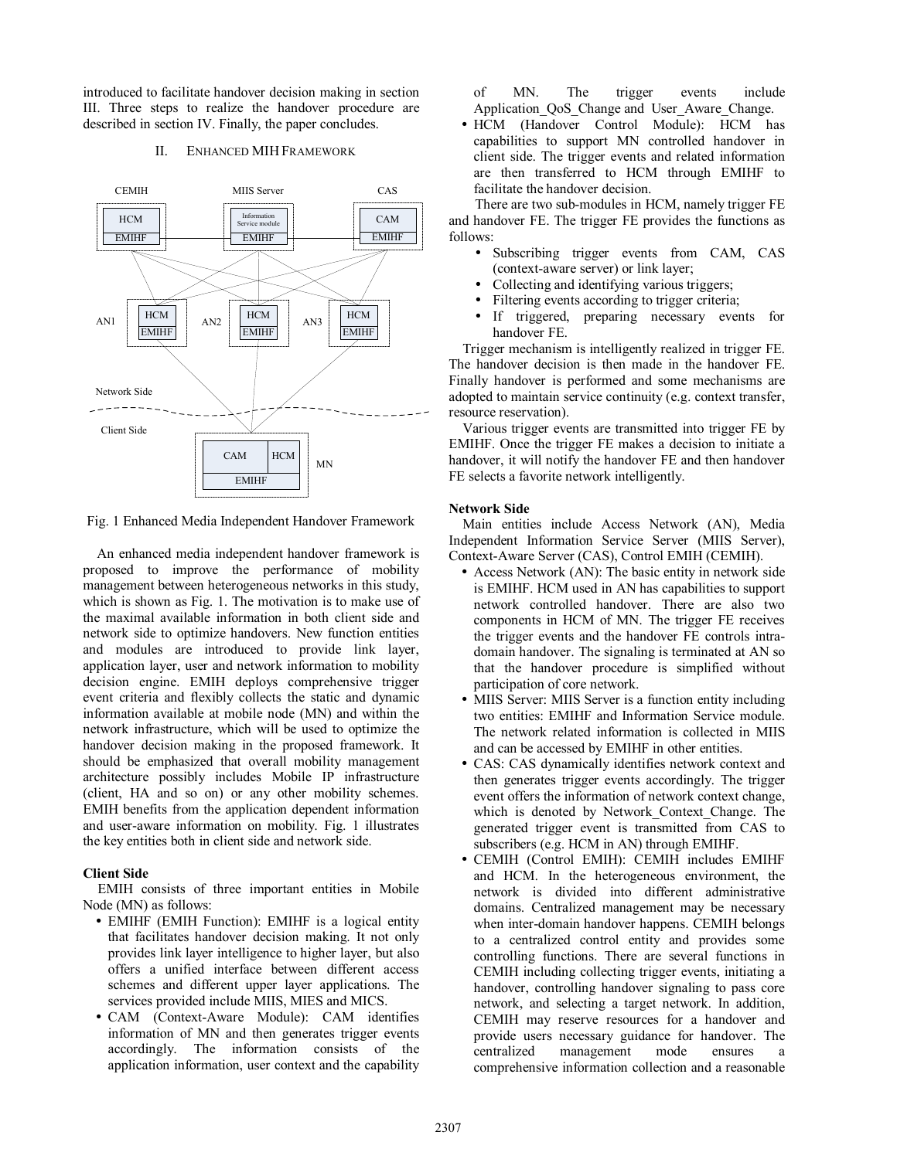introduced to facilitate handover decision making in section III. Three steps to realize the handover procedure are described in section IV. Finally, the paper concludes.

## II. ENHANCED MIH FRAMEWORK



Fig. 1 Enhanced Media Independent Handover Framework

An enhanced media independent handover framework is proposed to improve the performance of mobility management between heterogeneous networks in this study, which is shown as Fig. 1. The motivation is to make use of the maximal available information in both client side and network side to optimize handovers. New function entities and modules are introduced to provide link layer, application layer, user and network information to mobility decision engine. EMIH deploys comprehensive trigger event criteria and flexibly collects the static and dynamic information available at mobile node (MN) and within the network infrastructure, which will be used to optimize the handover decision making in the proposed framework. It should be emphasized that overall mobility management architecture possibly includes Mobile IP infrastructure (client, HA and so on) or any other mobility schemes. EMIH benefits from the application dependent information and user-aware information on mobility. Fig. 1 illustrates the key entities both in client side and network side.

#### **Client Side**

EMIH consists of three important entities in Mobile Node (MN) as follows:

- EMIHF (EMIH Function): EMIHF is a logical entity that facilitates handover decision making. It not only provides link layer intelligence to higher layer, but also offers a unified interface between different access schemes and different upper layer applications. The services provided include MIIS, MIES and MICS.
- CAM (Context-Aware Module): CAM identifies information of MN and then generates trigger events accordingly. The information consists of the application information, user context and the capability

of MN. The trigger events include Application QoS Change and User Aware Change.

• HCM (Handover Control Module): HCM has capabilities to support MN controlled handover in client side. The trigger events and related information are then transferred to HCM through EMIHF to facilitate the handover decision.

There are two sub-modules in HCM, namely trigger FE and handover FE. The trigger FE provides the functions as follows:

- Subscribing trigger events from CAM, CAS (context-aware server) or link layer;
- Collecting and identifying various triggers;
- Filtering events according to trigger criteria;
- If triggered, preparing necessary events for handover FE.

Trigger mechanism is intelligently realized in trigger FE. The handover decision is then made in the handover FE. Finally handover is performed and some mechanisms are adopted to maintain service continuity (e.g. context transfer, resource reservation).

Various trigger events are transmitted into trigger FE by EMIHF. Once the trigger FE makes a decision to initiate a handover, it will notify the handover FE and then handover FE selects a favorite network intelligently.

#### **Network Side**

Main entities include Access Network (AN), Media Independent Information Service Server (MIIS Server), Context-Aware Server (CAS), Control EMIH (CEMIH).

- Access Network (AN): The basic entity in network side is EMIHF. HCM used in AN has capabilities to support network controlled handover. There are also two components in HCM of MN. The trigger FE receives the trigger events and the handover FE controls intradomain handover. The signaling is terminated at AN so that the handover procedure is simplified without participation of core network.
- MIIS Server: MIIS Server is a function entity including two entities: EMIHF and Information Service module. The network related information is collected in MIIS and can be accessed by EMIHF in other entities.
- CAS: CAS dynamically identifies network context and then generates trigger events accordingly. The trigger event offers the information of network context change, which is denoted by Network\_Context\_Change. The generated trigger event is transmitted from CAS to subscribers (e.g. HCM in AN) through EMIHF.
- y CEMIH (Control EMIH): CEMIH includes EMIHF and HCM. In the heterogeneous environment, the network is divided into different administrative domains. Centralized management may be necessary when inter-domain handover happens. CEMIH belongs to a centralized control entity and provides some controlling functions. There are several functions in CEMIH including collecting trigger events, initiating a handover, controlling handover signaling to pass core network, and selecting a target network. In addition, CEMIH may reserve resources for a handover and provide users necessary guidance for handover. The centralized management mode ensures a comprehensive information collection and a reasonable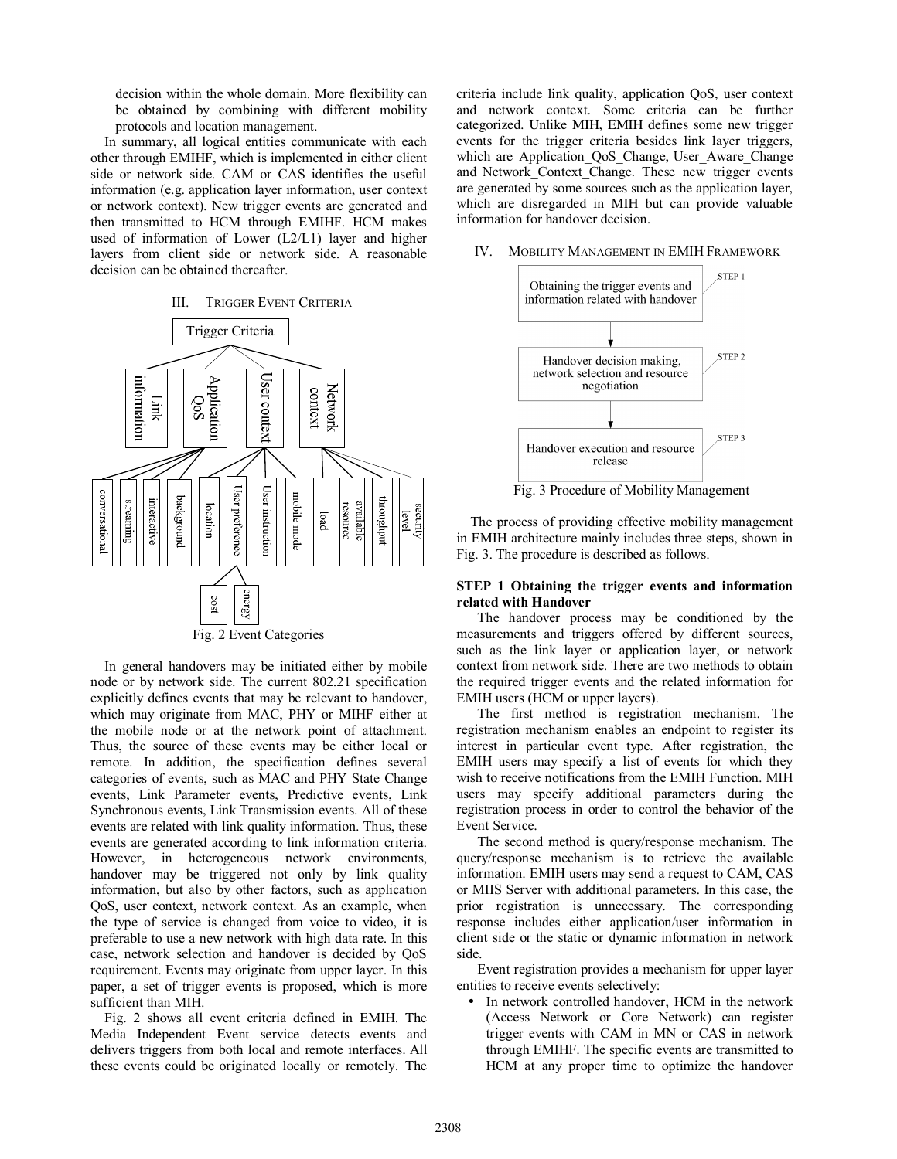decision within the whole domain. More flexibility can be obtained by combining with different mobility protocols and location management.

In summary, all logical entities communicate with each other through EMIHF, which is implemented in either client side or network side. CAM or CAS identifies the useful information (e.g. application layer information, user context or network context). New trigger events are generated and then transmitted to HCM through EMIHF. HCM makes used of information of Lower (L2/L1) layer and higher layers from client side or network side. A reasonable decision can be obtained thereafter.



In general handovers may be initiated either by mobile node or by network side. The current 802.21 specification explicitly defines events that may be relevant to handover, which may originate from MAC, PHY or MIHF either at the mobile node or at the network point of attachment. Thus, the source of these events may be either local or remote. In addition, the specification defines several categories of events, such as MAC and PHY State Change events, Link Parameter events, Predictive events, Link Synchronous events, Link Transmission events. All of these events are related with link quality information. Thus, these events are generated according to link information criteria. However, in heterogeneous network environments, handover may be triggered not only by link quality information, but also by other factors, such as application QoS, user context, network context. As an example, when the type of service is changed from voice to video, it is preferable to use a new network with high data rate. In this case, network selection and handover is decided by QoS requirement. Events may originate from upper layer. In this paper, a set of trigger events is proposed, which is more sufficient than MIH.

Fig. 2 shows all event criteria defined in EMIH. The Media Independent Event service detects events and delivers triggers from both local and remote interfaces. All these events could be originated locally or remotely. The

criteria include link quality, application QoS, user context and network context. Some criteria can be further categorized. Unlike MIH, EMIH defines some new trigger events for the trigger criteria besides link layer triggers, which are Application QoS Change, User Aware Change and Network Context Change. These new trigger events are generated by some sources such as the application layer, which are disregarded in MIH but can provide valuable information for handover decision.

#### IV. MOBILITY MANAGEMENT IN EMIH FRAMEWORK



Fig. 3 Procedure of Mobility Management

The process of providing effective mobility management in EMIH architecture mainly includes three steps, shown in Fig. 3. The procedure is described as follows.

#### **STEP 1 Obtaining the trigger events and information related with Handover**

The handover process may be conditioned by the measurements and triggers offered by different sources, such as the link layer or application layer, or network context from network side. There are two methods to obtain the required trigger events and the related information for EMIH users (HCM or upper layers).

The first method is registration mechanism. The registration mechanism enables an endpoint to register its interest in particular event type. After registration, the EMIH users may specify a list of events for which they wish to receive notifications from the EMIH Function. MIH users may specify additional parameters during the registration process in order to control the behavior of the Event Service.

The second method is query/response mechanism. The query/response mechanism is to retrieve the available information. EMIH users may send a request to CAM, CAS or MIIS Server with additional parameters. In this case, the prior registration is unnecessary. The corresponding response includes either application/user information in client side or the static or dynamic information in network side.

Event registration provides a mechanism for upper layer entities to receive events selectively:

In network controlled handover, HCM in the network (Access Network or Core Network) can register trigger events with CAM in MN or CAS in network through EMIHF. The specific events are transmitted to HCM at any proper time to optimize the handover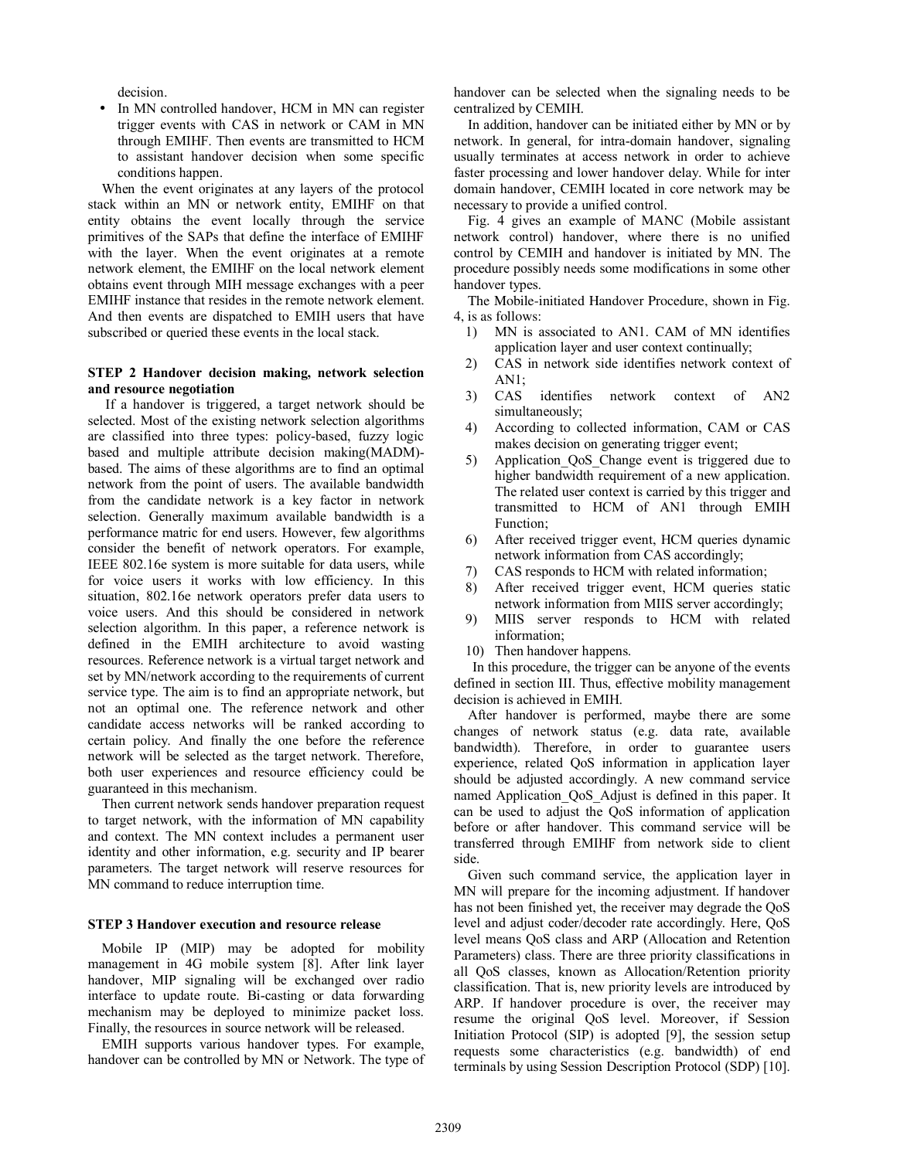decision.

In MN controlled handover, HCM in MN can register trigger events with CAS in network or CAM in MN through EMIHF. Then events are transmitted to HCM to assistant handover decision when some specific conditions happen.

When the event originates at any layers of the protocol stack within an MN or network entity, EMIHF on that entity obtains the event locally through the service primitives of the SAPs that define the interface of EMIHF with the layer. When the event originates at a remote network element, the EMIHF on the local network element obtains event through MIH message exchanges with a peer EMIHF instance that resides in the remote network element. And then events are dispatched to EMIH users that have subscribed or queried these events in the local stack.

#### **STEP 2 Handover decision making, network selection and resource negotiation**

 If a handover is triggered, a target network should be selected. Most of the existing network selection algorithms are classified into three types: policy-based, fuzzy logic based and multiple attribute decision making(MADM) based. The aims of these algorithms are to find an optimal network from the point of users. The available bandwidth from the candidate network is a key factor in network selection. Generally maximum available bandwidth is a performance matric for end users. However, few algorithms consider the benefit of network operators. For example, IEEE 802.16e system is more suitable for data users, while for voice users it works with low efficiency. In this situation, 802.16e network operators prefer data users to voice users. And this should be considered in network selection algorithm. In this paper, a reference network is defined in the EMIH architecture to avoid wasting resources. Reference network is a virtual target network and set by MN/network according to the requirements of current service type. The aim is to find an appropriate network, but not an optimal one. The reference network and other candidate access networks will be ranked according to certain policy. And finally the one before the reference network will be selected as the target network. Therefore, both user experiences and resource efficiency could be guaranteed in this mechanism.

Then current network sends handover preparation request to target network, with the information of MN capability and context. The MN context includes a permanent user identity and other information, e.g. security and IP bearer parameters. The target network will reserve resources for MN command to reduce interruption time.

#### **STEP 3 Handover execution and resource release**

Mobile IP (MIP) may be adopted for mobility management in 4G mobile system [8]. After link layer handover, MIP signaling will be exchanged over radio interface to update route. Bi-casting or data forwarding mechanism may be deployed to minimize packet loss. Finally, the resources in source network will be released.

 EMIH supports various handover types. For example, handover can be controlled by MN or Network. The type of handover can be selected when the signaling needs to be centralized by CEMIH.

In addition, handover can be initiated either by MN or by network. In general, for intra-domain handover, signaling usually terminates at access network in order to achieve faster processing and lower handover delay. While for inter domain handover, CEMIH located in core network may be necessary to provide a unified control.

Fig. 4 gives an example of MANC (Mobile assistant network control) handover, where there is no unified control by CEMIH and handover is initiated by MN. The procedure possibly needs some modifications in some other handover types.

The Mobile-initiated Handover Procedure, shown in Fig. 4, is as follows:

- 1) MN is associated to AN1. CAM of MN identifies application layer and user context continually;
- 2) CAS in network side identifies network context of AN1;
- 3) CAS identifies network context of AN2 simultaneously;
- 4) According to collected information, CAM or CAS makes decision on generating trigger event;
- 5) Application\_QoS\_Change event is triggered due to higher bandwidth requirement of a new application. The related user context is carried by this trigger and transmitted to HCM of AN1 through EMIH Function;
- 6) After received trigger event, HCM queries dynamic network information from CAS accordingly;
- 7) CAS responds to HCM with related information;
- 8) After received trigger event, HCM queries static network information from MIIS server accordingly;
- 9) MIIS server responds to HCM with related information;
- 10) Then handover happens.

In this procedure, the trigger can be anyone of the events defined in section III. Thus, effective mobility management decision is achieved in EMIH.

After handover is performed, maybe there are some changes of network status (e.g. data rate, available bandwidth). Therefore, in order to guarantee users experience, related QoS information in application layer should be adjusted accordingly. A new command service named Application\_QoS\_Adjust is defined in this paper. It can be used to adjust the QoS information of application before or after handover. This command service will be transferred through EMIHF from network side to client side.

Given such command service, the application layer in MN will prepare for the incoming adjustment. If handover has not been finished yet, the receiver may degrade the QoS level and adjust coder/decoder rate accordingly. Here, QoS level means QoS class and ARP (Allocation and Retention Parameters) class. There are three priority classifications in all QoS classes, known as Allocation/Retention priority classification. That is, new priority levels are introduced by ARP. If handover procedure is over, the receiver may resume the original QoS level. Moreover, if Session Initiation Protocol (SIP) is adopted [9], the session setup requests some characteristics (e.g. bandwidth) of end terminals by using Session Description Protocol (SDP) [10].